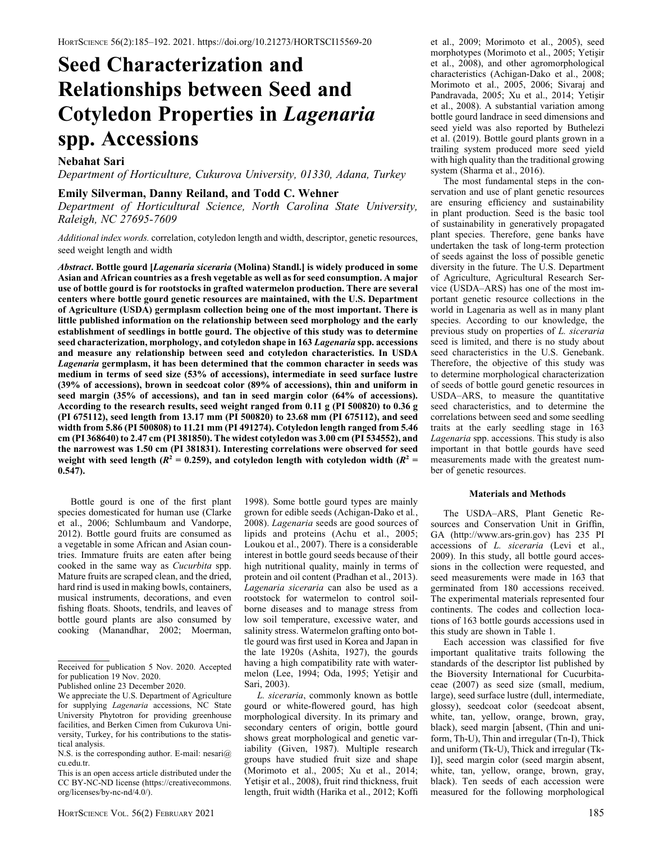# Seed Characterization and Relationships between Seed and Cotyledon Properties in Lagenaria spp. Accessions

# Nebahat Sari

Department of Horticulture, Cukurova University, 01330, Adana, Turkey

## Emily Silverman, Danny Reiland, and Todd C. Wehner

Department of Horticultural Science, North Carolina State University, Raleigh, NC 27695-7609

Additional index words. correlation, cotyledon length and width, descriptor, genetic resources, seed weight length and width

Abstract. Bottle gourd [Lagenaria siceraria (Molina) Standl.] is widely produced in some Asian and African countries as a fresh vegetable as well as for seed consumption. A major use of bottle gourd is for rootstocks in grafted watermelon production. There are several centers where bottle gourd genetic resources are maintained, with the U.S. Department of Agriculture (USDA) germplasm collection being one of the most important. There is little published information on the relationship between seed morphology and the early establishment of seedlings in bottle gourd. The objective of this study was to determine seed characterization, morphology, and cotyledon shape in 163 Lagenaria spp. accessions and measure any relationship between seed and cotyledon characteristics. In USDA Lagenaria germplasm, it has been determined that the common character in seeds was medium in terms of seed size (53% of accessions), intermediate in seed surface lustre (39% of accessions), brown in seedcoat color (89% of accessions), thin and uniform in seed margin (35% of accessions), and tan in seed margin color (64% of accessions). According to the research results, seed weight ranged from 0.11 g (PI 500820) to 0.36 g (PI 675112), seed length from 13.17 mm (PI 500820) to 23.68 mm (PI 675112), and seed width from 5.86 (PI 500808) to 11.21 mm (PI 491274). Cotyledon length ranged from 5.46 cm (PI 368640) to 2.47 cm (PI 381850). The widest cotyledon was 3.00 cm (PI 534552), and the narrowest was 1.50 cm (PI 381831). Interesting correlations were observed for seed weight with seed length ( $R^2 = 0.259$ ), and cotyledon length with cotyledon width ( $R^2 = 0.259$ ) 0.547).

Bottle gourd is one of the first plant species domesticated for human use (Clarke et al., 2006; Schlumbaum and Vandorpe, 2012). Bottle gourd fruits are consumed as a vegetable in some African and Asian countries. Immature fruits are eaten after being cooked in the same way as Cucurbita spp. Mature fruits are scraped clean, and the dried, hard rind is used in making bowls, containers, musical instruments, decorations, and even fishing floats. Shoots, tendrils, and leaves of bottle gourd plants are also consumed by cooking (Manandhar, 2002; Moerman,

1998). Some bottle gourd types are mainly grown for edible seeds (Achigan-Dako et al., 2008). Lagenaria seeds are good sources of lipids and proteins (Achu et al., 2005; Loukou et al., 2007). There is a considerable interest in bottle gourd seeds because of their high nutritional quality, mainly in terms of protein and oil content (Pradhan et al., 2013). Lagenaria siceraria can also be used as a rootstock for watermelon to control soilborne diseases and to manage stress from low soil temperature, excessive water, and salinity stress. Watermelon grafting onto bottle gourd was first used in Korea and Japan in the late 1920s (Ashita, 1927), the gourds having a high compatibility rate with watermelon (Lee, 1994; Oda, 1995; Yetişir and Sari, 2003).

L. siceraria, commonly known as bottle gourd or white-flowered gourd, has high morphological diversity. In its primary and secondary centers of origin, bottle gourd shows great morphological and genetic variability (Given, 1987). Multiple research groups have studied fruit size and shape (Morimoto et al., 2005; Xu et al., 2014; Yetişir et al., 2008), fruit rind thickness, fruit length, fruit width (Harika et al., 2012; Koffi et al., 2009; Morimoto et al., 2005), seed morphotypes (Morimoto et al., 2005; Yetişir et al., 2008), and other agromorphological characteristics (Achigan-Dako et al., 2008; Morimoto et al., 2005, 2006; Sivaraj and Pandravada, 2005; Xu et al., 2014; Yetişir et al., 2008). A substantial variation among bottle gourd landrace in seed dimensions and seed yield was also reported by Buthelezi et al. (2019). Bottle gourd plants grown in a trailing system produced more seed yield with high quality than the traditional growing system (Sharma et al., 2016).

The most fundamental steps in the conservation and use of plant genetic resources are ensuring efficiency and sustainability in plant production. Seed is the basic tool of sustainability in generatively propagated plant species. Therefore, gene banks have undertaken the task of long-term protection of seeds against the loss of possible genetic diversity in the future. The U.S. Department of Agriculture, Agricultural Research Service (USDA–ARS) has one of the most important genetic resource collections in the world in Lagenaria as well as in many plant species. According to our knowledge, the previous study on properties of L. siceraria seed is limited, and there is no study about seed characteristics in the U.S. Genebank. Therefore, the objective of this study was to determine morphological characterization of seeds of bottle gourd genetic resources in USDA–ARS, to measure the quantitative seed characteristics, and to determine the correlations between seed and some seedling traits at the early seedling stage in 163 Lagenaria spp. accessions. This study is also important in that bottle gourds have seed measurements made with the greatest number of genetic resources.

## Materials and Methods

The USDA–ARS, Plant Genetic Resources and Conservation Unit in Griffin, GA [\(http://www.ars-grin.gov\)](http://www.ars-grin.gov) has 235 PI accessions of L. siceraria (Levi et al., 2009). In this study, all bottle gourd accessions in the collection were requested, and seed measurements were made in 163 that germinated from 180 accessions received. The experimental materials represented four continents. The codes and collection locations of 163 bottle gourds accessions used in this study are shown in Table 1.

Each accession was classified for five important qualitative traits following the standards of the descriptor list published by the Bioversity International for Cucurbitaceae (2007) as seed size (small, medium, large), seed surface lustre (dull, intermediate, glossy), seedcoat color (seedcoat absent, white, tan, yellow, orange, brown, gray, black), seed margin [absent, (Thin and uniform, Th-U), Thin and irregular (Tn-I), Thick and uniform (Tk-U), Thick and irregular (Tk-I)], seed margin color (seed margin absent, white, tan, yellow, orange, brown, gray, black). Ten seeds of each accession were measured for the following morphological

Received for publication 5 Nov. 2020. Accepted for publication 19 Nov. 2020. Published online 23 December 2020.

We appreciate the U.S. Department of Agriculture for supplying Lagenaria accessions, NC State University Phytotron for providing greenhouse facilities, and Berken Cimen from Cukurova University, Turkey, for his contributions to the statistical analysis.

N.S. is the corresponding author. E-mail: [nesari@](mailto:nesari@cu.edu.tr) [cu.edu.tr.](mailto:nesari@cu.edu.tr)

This is an open access article distributed under the CC BY-NC-ND license (https://creativecommons. org/licenses/by-nc-nd/4.0/).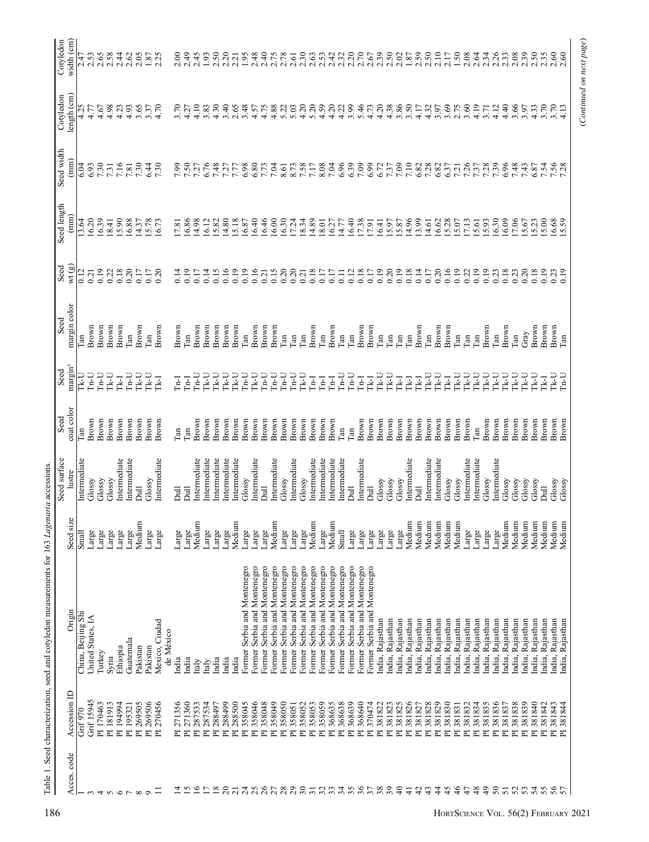|                 |                                   |                              |           | Seed surface   | Seed         | Seed                | Seed         | Seed   | Seed length          | Seed width           | Cotyledon        | width (cm)<br>Cotyledon |
|-----------------|-----------------------------------|------------------------------|-----------|----------------|--------------|---------------------|--------------|--------|----------------------|----------------------|------------------|-------------------------|
| Acces. code     | Accession ID                      | Origin                       | Seed size | lustre         | coat color   | margin <sup>2</sup> | margin color | wt (g) | $(\text{mm})$        | (mm)                 | length (cm)      |                         |
|                 | Grif 970                          | China, Beijing Shi           | Small     | Intermediate   | Tan          | Tk-U                | Tan          | 0.12   | 13.64                | 6.04                 | 4.25             | 2.47                    |
|                 | Grif 15945                        | United States, IA            | Large     | Glossy         | Brown        | U-41                | Brown        | 0.21   | 16.20                | 6.93                 | 4.77             | 2.53                    |
| 4               | PI 170463                         | Turkey                       | Large     | Glossy         | Brown        | $U$ -n              | Brown        | 0.19   | 16.39                | 7.30                 | 4.67             | 2.65                    |
|                 | PI 181913                         | Syria                        | Large     | Glossy         | Brown        | L-YL                | Brown        | 0.22   | 8.41                 | 7.31                 | 4.98             | 2.58                    |
| 6               | PI 194994                         | Ethiopia                     | Large     | Intermediate   | Brown        | <b>Ik-I</b>         | Brown        | 0.18   | 15.90                | 7.16                 | 4.23             | 2.44                    |
|                 | PI 195321                         | Guatemala                    | Large     | Intermediate   | Brown        | $L_{n-1}$           | $\Gamma$ an  | 0.20   | 16.88                | 7.81                 | 4.93             | 2.62                    |
| ${}^{\infty}$   | PI 269505                         | Pakistan                     | Medium    | $\overline{a}$ | Brown        | <b>IK-U</b>         | Brown        | 0.17   | 14.37                | 7.30                 | 3.65             | 2.05                    |
| $\sigma$        | PI 269506                         | Pakistan                     | Large     | Glossy         | Brown        | L7-11               | $\Gamma$ an  | 0.17   | 5.78                 | 6.44                 |                  |                         |
|                 | PI 270456                         | Mexico, Ciudad               | Large     | Intermediate   | Brown        | <b>IkI</b>          | Brown        | 0.20   | 6.73                 | 7.30                 | $3.37$<br>4.70   | $1.87$<br>2.25          |
|                 |                                   | de México                    |           |                |              |                     |              |        |                      |                      |                  |                         |
|                 | PI 271356                         | India                        | Large     | $\overline{a}$ | $\Gamma$ an  | $I_{n-1}$           | Brown        | 0.14   | 17.81                | 7.99                 | 3.70             | 2.00                    |
|                 | 271360<br>$\overline{E}$          | India                        | Large     | 킁              | $\Gamma$ an  | E                   | $\lim$       | 0.19   | 6.86                 |                      | 4.27             | 2.49                    |
| $\tilde{=}$     | PI 287533                         | taly                         | Medium    | Intermediate   | Brown        | U-a1                | Brown        | 0.17   | 14.98                | 7.50<br>7.27         | 4.10             | 2.45                    |
|                 | PI 287534                         | taly                         | Large     | Intermediate   | Brown        | LY-1                | Brown        | 0.14   | 16.12                | 6.76                 | 3.83             | 1.93                    |
| $\frac{8}{2}$   | PI 288497                         | India                        | Large     | Intermediate   | Brown        | LY-11               | Brown        | 0.15   | 15.82                | 7.48                 | 4.30             | 2.50                    |
| $\overline{c}$  | 288499<br>$\overline{\mathbf{r}}$ | India                        | Large     | Intermediate   | Brown        | LY-1                | Brown        | 0.16   | 14.80                | 7.27                 | 3.40             | 2.20                    |
| $\overline{21}$ | 288500<br>$\overline{E}$          | India                        | Medium    | ntermediate    | Brown        | <b>LY-11</b>        | Brown        | 0.19   | 15.18                | 7.77                 | 2.65             | 2.21                    |
| 24              | PI 358045                         | Former Serbia and Montenegro | Large     | Glossy         | Brown        | $L_{n-1}$           | $\Gamma$ an  | 0.19   | 16.87                | 6.98                 | 3.48             |                         |
| 25              | 358046<br>$\overline{E}$          | Former Serbia and Montenegro | Large     | ntermediate    | Brown        | LYI                 | Brown        | 0.16   | 16.40                | 6.80                 | 4.57             | 1.95                    |
| 26              | 358048<br>$\overline{E}$          | Former Serbia and Montenegro | Large     | $\overline{a}$ | Brown        | $In-U$              | Brown        | 0.21   | 16.46                | 7.73                 | 4.75             |                         |
|                 | 358049<br>$\overline{p}$          | Former Serbia and Montenegro | Medium    | Intermediate   | Brown        | $Ln-U$              | Brown        | 0.15   | 16.00                | 7.04                 | 4.88             | 2.75                    |
| 28              | 358050<br>$\overline{E}$          | Former Serbia and Montenegro | Large     | Glossy         | Brown        | $L_{n}$             | $\lim$       | 0.20   | 16.30                | 8.61                 | 5.22             | 2.78                    |
| 29              | PI 358051                         | Former Serbia and Montenegro | Large     | Intermediate   | Brown        | $\Gamma_{n-U}$      | Гan          | 0.20   | 17.24                | 8.73                 | 5.03             | 2.61                    |
| 30              | PI 358052                         | Former Serbia and Montenegro | Large     | Glossy         | Brown        | LY-1                | Can          | 0.21   | 18.34                |                      | 4.20             | 2.30                    |
| $\overline{31}$ | 358053<br>$\overline{\mathbb{E}}$ | Former Serbia and Montenegro | Medium    | ntermediate    | Brown        | E                   | Brown        | 0.18   | 4.89                 | 7.58                 | 5.20             | 2.63                    |
| 32              | 358059<br>$\overline{P}$          | Former Serbia and Montenegro | Large     | Intermediate   | Brown        | $In-I$              | Tan          | 0.17   | 18.01                | 8.08                 | 4.59             | 2.53                    |
| 33              | PI 368635                         | Former Serbia and Montenegro | Medium    | ntermediate    | Brown        | <b>In-I</b>         | Brown        | 0.17   | 6.27                 | 7.04                 | 4.20             | 2.42                    |
| 34              | PI 368638                         | Former Serbia and Montenegro | Small     | ntermediate    | $\Gamma$ an  | $L_{n-1}$           | $\lim$       | 0.11   | 14.77                | 6.96                 | 4.22             | 2.32                    |
|                 | 368639<br>$\overline{\mathbf{r}}$ | Former Serbia and Montenegro | Large     | $\overline{a}$ | $\Gamma$ an  | $U$ -n <sup>1</sup> | $\Gamma$ an  | 0.12   | 16.40                | 6.39                 | 3.99             | 2.20                    |
| 36              | 368640<br>$\overline{E}$          | Former Serbia and Montenegro | Large     | ntermediate    | Brown        | $In-1$              | Brown        | 0.18   |                      | 7.09                 | 5.46             | 2.70                    |
| 57              | PI 370474                         | Former Serbia and Montenegro | Large     | Dull           | Brown        | <b>Tk-I</b>         | Brown        | 0.17   | 17.38                | 6.99                 | 4.73             | 2.67                    |
| 38              | PI 381822                         | ndia, Rajasthan              | Large     | Glossy         | Brown        | <b>LY-11</b>        | $\Gamma$ an  | 0.19   | 16.41                | 6.72                 | 4.20             | 2.39                    |
| 39              | PI 381823                         | ndia, Rajasthan              | Large     | Glossy         | Brown        | <b>TK-U</b>         | <b>Can</b>   | 0.20   | 5.97                 | 7.37                 | $4.38$<br>$3.50$ | 2.50                    |
| $\frac{1}{4}$   | PI 381825                         | ndia, Rajasthan              | Large     | Glossy         | Brown        | Ľ                   | <b>Can</b>   | 0.19   | 5.87                 | 7.09                 |                  | 2.02                    |
| $\frac{1}{4}$   | PI 381826                         | ndia, Rajasthan              | Medium    | ntermediate    | Brown        | <b>Ik-I</b>         | Can          | 0.18   | 14.96                | 7.10                 |                  | 1.87                    |
| 42              | PI 381827                         | India, Rajasthan             | Medium    | Dull           | Brown        | <b>Tk-I</b>         | Brown        | 0.14   | 13.99                | 6.82                 | 4.17             | 2.59                    |
| 43              | PI 381828                         | ndia, Rajasthan              | Medium    | Intermediate   | Brown        | L-YL                | Ean          | 0.17   | 14.61                | 7.28                 | 4.32             | 2.50                    |
| $\frac{4}{3}$   | PI 381829                         | Rajasthan<br>India,          | Medium    | Intermediate   | Brown        | rk-U                | Brown        | 0.20   | 16.62                | 6.82                 | 3.97             | 2.10                    |
| 45              | PI 381830                         | Rajasthan<br>India,          | Medium    | Glossy         | Brown        | <b>Ik-I</b>         | Brown        | 0.16   | 15.28                | 6.37                 | 3.69             | 2.17                    |
| 46              | PI 381831                         | ndia, Rajasthan              | Medium    | Glossy         | Brown        | <b>IK-U</b>         | $\Gamma$ an  | 0.19   | 5.07                 | 7.21                 |                  | 1.50                    |
| 47              | PI 381832                         | India, Rajasthan             | Large     | Intermediate   | Brown        | <b>LYLI</b>         | $\Gamma$ an  | 0.22   | $\frac{17.13}{5.61}$ | 7.37<br>7.37<br>7.28 | 3.60             | 2.08                    |
| 48              | 381834<br>$\overline{E}$          | Rajasthan<br>India, I        | Large     | ntermediate    | $\mathbb{E}$ | L-SD                | [an          | 0.19   |                      |                      | 4.19             | 2.64                    |
| $\overline{49}$ | PI 381835                         | Rajasthan<br>India,          | Large     | Glossy         | Brown        | <b>IK-U</b>         | Brown        | 0.19   | 5.93                 |                      | 3.71             | 2.34                    |
| 50              | PI 381836                         | ndia, Rajasthan              | Large     | Intermediate   | Brown        | <b>LY-11</b>        | Tan          | 0.23   | 16.30                | 7.39<br>6.96         | 4.12             | 2.26                    |
| $\overline{5}$  | PI 381837                         | ndia, Rajasthan              | Medium    | Glossy         | Brown        | LY-11               | Brown        | 0.18   | 16.09                |                      | 4.40             | 2.33                    |
| 52              | 381838<br>$\overline{E}$          | ndia, Rajasthan              | Medium    | Glossy         | Brown        | L7-YL               | <b>Can</b>   | 0.23   | 7.06                 | 7.48                 | 3.66             | 2.08                    |
|                 | PI 381839                         | Rajasthan<br>India, I        | Medium    | Glossy         | Brown        | LY-11               | Gray         | 0.20   | 5.67                 | 7.43                 | 3.97             | 2.39                    |
| 54              | PI 381840                         | ndia, Rajasthan              | Medium    | Glossy         | Brown        | <b>LY-11</b>        | Brown        | 0.18   | 5.23                 | 6.87                 | $4.33$<br>$3.70$ | 2.50                    |
| 55              | PI 381842                         | ndia, Rajasthan              | Medium    | 司              | Brown        | <b>Tk-I</b>         | Brown        | 0.19   | 5.00                 | 7.54                 |                  | 2.35                    |
| 56              | PI 381843                         | ndia, Rajasthan              | Medium    | Glossy         | Brown        | ry<br>S             | Brown        | 0.23   | $\frac{16.68}{5.59}$ | 7.56                 | 3.70             | 2.60                    |
| 57              | PI 381844                         | India, Rajasthan             | Medium    | Glossy         | Brown        | U-tu                | Tan          | 0.19   |                      |                      | 4.13             | 2.60                    |

Table 1. Seed characterization, seed and cotyledon measurements for 163 Lagenaria accessions. Table 1. Seed characterization, seed and cotyledon measurements for 163 Lagenaria accessions.

(Continued on next page)

(Continued on next page)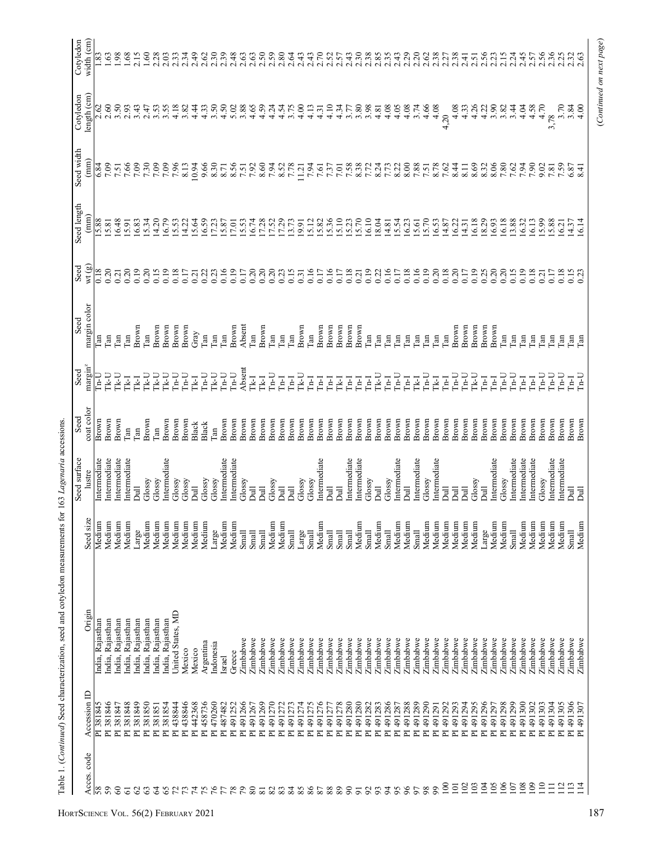|                 |                                                  |                      |                              | Seed surface                | Seed           | Seed                                 | Seed                    | Seed             | Seed length   | Seed width                 | Cotyledon                  | Cotyledon        |
|-----------------|--------------------------------------------------|----------------------|------------------------------|-----------------------------|----------------|--------------------------------------|-------------------------|------------------|---------------|----------------------------|----------------------------|------------------|
| Acces.code      | Accession ID                                     | Origin               | $\mathbf \omega$<br>Seed siz | lustre                      | coat color     | margm <sup>z</sup>                   | margin color            | wt (g)           | $(\text{mm})$ | $(\text{mm})$              | length (cm)                | width (cm)       |
| 58              | PI 381845                                        | India, Rajasthan     | Medium                       | Intermediate                | Brown          | $_{\rm InU}$                         | l'an                    | 0.18             | 15.88         | 6.84                       | 2.62                       | 1.83             |
| 59              | PI 381846                                        | India, Rajasthan     | Medium                       | ntermediate                 | Brown          | コマロ                                  | Гan                     | 0.20             | 5.81          | 7.09                       | 2.60                       |                  |
| 8               | PI 381847                                        | India, Rajasthan     | Medium                       | Intermediate                | Brown          | L-YL                                 | $\Gamma$ an             | 0.21             | 6.48          | 7.51                       | 3.50                       | 98               |
| 5               | PI 381848                                        | ndia, Rajasthan      | Medium                       | ntermediate                 | Гan            | <b>Tk-I</b>                          | Гan                     | 0.20             | 15.91         |                            | 2.93                       | .68              |
| $\mathcal{S}$   | 381849<br>匸                                      | India, Rajasthan     | Large                        | $\overline{a}$              | <b>Tan</b>     | <b>Tk-I</b>                          | Brown                   | 0.19             | 6.83          | $0.66$<br>$0.75$<br>$0.75$ | 3.43                       | 2.15             |
| 63              | 381850<br>匸                                      | India, Rajasthan     | Medium                       | Glossy                      | Brown          | L-YL                                 | Tan                     | 0.20             | 5.34          |                            | 2.47                       | $1.60\,$         |
| 64              | 381851<br>$\overline{E}$                         | India, Rajasthan     | Medium                       | Glossy                      | Гan            |                                      | Brown                   | 0.15             | 14.20         | 7.09                       | 3.53                       | 2.28             |
| 65              | 381854<br>$\overline{E}$                         | India, Rajasthan     | Medium                       | Intermediate                | Brown          | L-N                                  | Brown                   | 0.19             | 16.79         | 7.96                       | 3.55                       | 2.03             |
|                 | 438844<br>Σ                                      | United States, MD    | Medium                       | Glossy                      | Brown          | $L_{\rm H}$                          | Brown                   | 0.18             | 5.53          |                            | 4.18                       | 2.33             |
| 73              | 438846<br>$\overline{E}$                         | Mexico               | Medium                       | Glossy                      | Brown          | U-a                                  | Brown                   | 0.17             | 14.22         | 8.13                       | 3.82                       | 2.34             |
| $\mathcal{L}$   | 442368<br>$\overline{\mathbb{E}}$                | Mexico               | Medium                       | $\bar{a}$                   | Black          | <b>Tk-I</b>                          | Gray                    | 0.21             | 15.64         | 10.94                      | 4.44                       | 2.49             |
| 75              | 458736<br>$\overline{\mathbf{r}}$                | Argentina            | Medium                       | Glossy                      | Black          | $L_{\rm H}$                          | $\Gamma$ an             | 0.22             | 6.59          | 9.50<br>8.30<br>8.71       | 4.33                       | 2.62             |
|                 | 470260<br>$\overline{E}$                         | ndonesia             | Large                        | Glossy                      | Tan            | $\Gamma\mathbf{k}\text{-}\mathbf{U}$ | Гan                     | 0.23             | 17.23         |                            | 3.50                       | 2.30             |
| 778             | 487482<br>匸                                      | Israel               | Medium                       | Intermediate                | Brown          | $Ln-U$                               | $\Gamma$ an             | 0.16             | 15.87         |                            | 4.50                       | 2.39             |
|                 | 491252<br>Σ                                      | Greece               | Medium                       | ntermediate                 | Brown          | $\Gamma_{\rm n-U}$                   | Brown                   | 0.19             | 7.01          | 8.56                       | 5.02                       | 2.48             |
|                 | 491266<br>$\overline{E}$                         | Zimbabwe             | Small                        | Glossy                      | Brown          | Absent                               | Absent                  | 0.17             | 15.53         |                            | 3.88                       | 2.63             |
| 80              | 491267<br>匸                                      | Zimbabwe             | Small                        | $\overline{a}$              | Brown          | Ľ                                    | $\Gamma$ an             | 0.20             | 16.74         | 7.92                       | 4.65                       | 2.63             |
| $\overline{81}$ | 491269<br>$\overline{\mathbf{r}}$                | Zimbabwe             | Small                        | $\overline{a}$              | Brown          | <b>TR-I</b>                          | Brown                   | 0.20             | 7.28          | 8.60                       | 4.59                       | 2.50             |
| 83              | 491270<br>$\overline{\mathbf{r}}$                | Zimbabwe             | Medium                       | Glossy                      | Brown          | $L_{n}$                              | $\Gamma$ an             | 0.20             | 7.52          | 7.94                       | 4.24                       | 2.59             |
|                 | 491272<br>$\overline{\mathbf{r}}$                | Zimbabwe             | Medium                       | $\overline{a}$              | Brown          | Γ'n                                  | Tan                     | 0.23             | 17.29         | 8.52                       | 4.54                       | 2.80             |
| 84              | 491273<br>$\overline{E}$                         | Zimbabwe             | Small                        | $\overline{a}$              | Brown          | E                                    | Can                     | 0.15             |               | 7.78                       | 3.75                       | 2.64             |
| 85              | 491274<br>$\overline{\mathbf{r}}$                | Zimbabwe             | Large                        | Glossy                      | Brown          | u-xi                                 | Brown                   | 0.31             | 13.73         | 11.21                      | 4.00                       | 2.43             |
| 86              | 491275<br>$\overline{\mathbb{E}}$                | Zimbabwe             | Small                        | Glossy                      | Brown          | Ē                                    | $\Gamma$ an             | 0.16             | 15.12         | 7.94                       | 4.13                       | 2.43             |
| 87              | 491276<br>$\overline{\mathbb{E}}$                | Zimbabwe             | Medium                       | ntermediate                 | Brown          | Ē                                    | Brown                   | 0.17             | 15.82         | 7.61                       | 4.31                       | 2.70             |
| 88              | 491277<br>눈                                      | Zimbabwe             | Small                        | $\overline{a}$              | Brown          | E                                    | Brown                   | 0.16             | 5.36          | 7.37                       | 4.10                       | 2.52             |
| 89              | 491278<br>$\overline{a}$                         | Zimbabwe             | Small                        | 言                           | Brown          | Ŀ                                    | Brown                   | 0.17             | 15.10         | $7.01$                     | 4.34                       | 2.57             |
| $\infty$        | 491280<br>$\overline{E}$                         | Zimbabwe             | Small                        | ntermediate                 | Brown          | 굴                                    | Brown                   | 0.18             | 15.23         | 7.58                       | 3.77                       | 2.43             |
| $\overline{5}$  | 491280<br>눈                                      | Zimbabwe             | Medium                       | ntermediate                 | Brown          | E                                    | Brown                   | 0.21             | 5.70          |                            | 3.80                       |                  |
| 92              | 491282<br>$\overline{E}$                         | Zimbabwe             | Small                        | Glossy                      | Brown          | Ξ                                    | $\Gamma$ an             | 0.19             | 16.10         | 8.38                       | 3.98                       | 2.30             |
| 93              | 491283<br>E                                      | Zimbabwe             | Medium                       | $\overline{a}$              | Brown          | LR-1                                 | $\Gamma$ an             | 0.22             | 18.04         | 8.24                       | 4.81                       | 2.85             |
| $\overline{5}$  | 491286<br>E                                      | Zimbabwe             | Small                        | Glossy                      | Brown          | <b>Fall</b>                          | Can                     | 0.16             | 14.81         | 7.73                       | 4.08                       | $2.35$<br>$2.43$ |
| 95              | 491287<br>$\overline{\mathbf{r}}$                | Zimbabwe             | Medium                       | ntermediate                 | Brown          | $U$ -tr                              | $\mathop{\mathrm{ran}}$ | 0.17             | 5.54          | 8.22                       | 4.05                       |                  |
| 96              | 491288<br>$\overline{\mathbf{r}}$                | Zimbabwe             | Medium                       | $\overline{a}$              | Brown          | I                                    | <b>Can</b>              | 0.18             | 16.23         | 8.00                       | 4.08                       | 2.29             |
| 50              | 491289<br>$\overline{\mathbb{E}}$                | Zimbabwe             | Small                        | ntermediate                 | Brown          | <b>Tk-I</b>                          | Can                     | 0.16             | 15.61         | 7.51                       | 3.74                       | 2.20             |
| 99<br>98        | 491290<br>$\overline{\mathbf{r}}$                | Zimbabwe             | Medium                       | Glossy                      | Brown          | U-tí                                 | $\Gamma$ an             | 0.19             | 5.70          |                            | 4.66                       | 2.62             |
|                 | 491291<br>$\overline{E}$                         | Zimbabwe             | Medium                       | ntermediate                 | Brown          | <b>Ik-I</b>                          | <b>Can</b>              | 0.20             | 16.53         | 8.78                       | 4.08                       | 2.38             |
| 100<br>101      | 491292<br>491293<br>匸<br>$\overline{\mathbf{r}}$ | Zimbabwe             | Medium                       | $\bar{a}$<br>$\overline{a}$ | Brown          | $U$ -n <sup>1</sup><br><b>Fall</b>   | $\Gamma$ an             | 0.18<br>0.20     | 14.87<br>6.22 | 7.62<br>8.44               | 4.08<br>4,20               | 2.38<br>2.27     |
| 102             | 491294<br>$\overline{\mathbf{r}}$                | Zimbabwe<br>Zimbabwe | Medium<br>Medium             | Dull                        | Brown          | $Ln-U$                               | Brown<br>Brown          | 0.17             | 14.31         | 8.11                       | 4.33                       | 2.41             |
| $\overline{0}$  | 491295<br>E                                      | Zimbabwe             | Medium                       | Glossy                      | Brown          | <b>LYLI</b>                          |                         | 0.19             | 16.18         | 8.69                       | 4.26                       | 2.51             |
| $\mathfrak{S}$  | 491296<br>$\overline{\mathbb{E}}$                | Zimbabwe             | Large                        | $\overline{a}$              | Brown<br>Brown | <b>Fall</b>                          | Brown<br>Brown          |                  | 8.29          | 8.32                       | 4.22                       |                  |
| 05              | 491297<br>$\overline{\mathbf{r}}$                | Zimbabwe             | Medium                       | ntermediate                 | Brown          | $In-I$                               | Brown                   | $0.25$<br>$0.20$ | 6.93          | 8.06                       | 3.90                       | 2.56             |
| $\infty$        | 491298<br>$\overline{E}$                         | Zimbabwe             | Medium                       | Glossy                      | Brown          | $L_{\rm H}$                          | $\Gamma$ an             | 0.20             | 16.18         |                            | 3.82                       | 2.15             |
| 107             | 491299<br>E                                      | Zimbabwe             | Small                        | ntermediate                 | Brown          | $L_{n-1}$                            | $\Gamma$ an             |                  | 13.88         | 7.80<br>7.94               | 3.44                       | 2.24             |
| 108             | 491300<br>$\overline{\mathbf{r}}$                | Zimbabwe             | Medium                       | ntermediate                 | Brown          | <b>Fall</b>                          | Can                     | $0.15$<br>0.19   | 6.32          |                            | 4.04                       | 2.45             |
| 109             | 491302<br>E                                      | Zimbabwe             | Medium                       | Intermediate                | Brown          | <b>In-I</b>                          | <b>Tan</b>              | 0.18             | 6.13          |                            | 4.58                       |                  |
| 110             | PI 491303                                        | Zimbabwe             | Medium                       | Glossy                      | Brown          | U-41                                 | $\Gamma$ an             | 0.21             | 5.99          | 7.90                       | 4.70                       | 2.57<br>2.56     |
| $\Xi$           | 491304<br>Σ                                      | Zimbabwe             | Medium                       | ntermediate                 | Brown          | U-d                                  | <b>Can</b>              | 0.17             | 5.88          | 7.59                       | 3,78                       | 2.36             |
| $\frac{12}{2}$  | PI 491305                                        | Zimbabwe             | Medium                       | Intermediate                | Brown          | $Ln-U$                               | <b>Can</b>              | 0.18             | 6.21          |                            | $3.30$<br>$7.30$<br>$4.00$ | 2.25             |
| 13              | 491306<br>E                                      | Zimbabwe             | Small                        | $\overline{\mathsf{D}}$ ull | Brown          | <b>Lind</b>                          | $\mathbb{R}$            | 0.15             | 14.37         | 6.87                       |                            | 2.32             |
| $\overline{14}$ | 491307<br>ᄇ                                      | Zimbabwe             | Medium                       | Dull                        | Brown          | $L_{n-1}$                            | $\Gamma$ an             | 0.23             | 6.14          | 8.41                       |                            | 2.63             |

(Continued on next page)

(Continued on next page)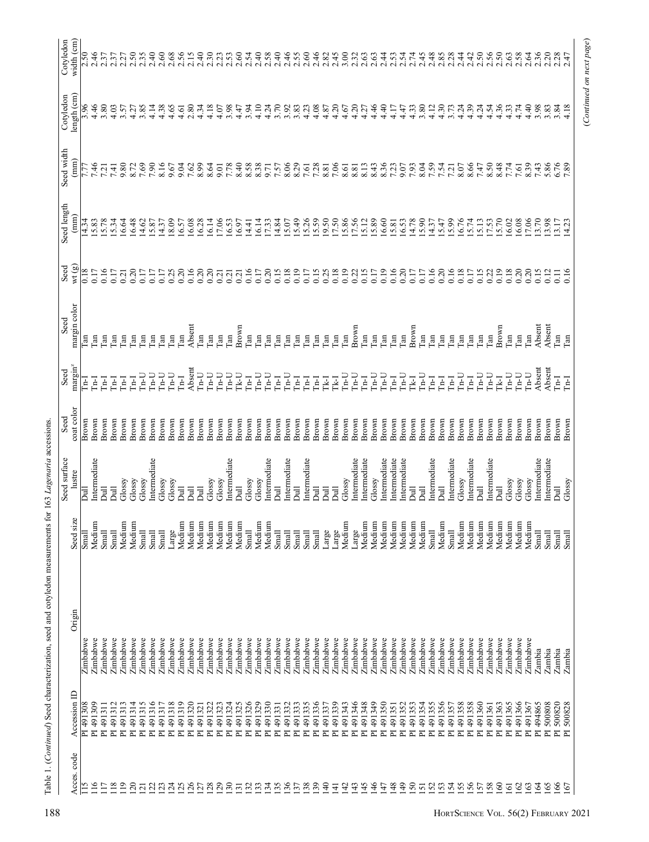|                 |                        |                      |                  | Seed surface         | Seed           | Seed                   | Seed               | Seed           | Seed length                      | Seed width    | Cotyledon    | Cotyledon        |
|-----------------|------------------------|----------------------|------------------|----------------------|----------------|------------------------|--------------------|----------------|----------------------------------|---------------|--------------|------------------|
| Acces.code      | Accession ID           | Origin               | Seed size        | lustre               | coat color     | margin <sup>2</sup>    | margin color       | wt(g)          | $(\text{mm})$                    | $(\text{mm})$ | length (cm)  | width (cm)       |
| $^{15}$         | PI 491308              | Zimbabwe             | S <sub>mal</sub> | Ē                    | Brown          | 口                      | Гan                | 0.18           | 14.34                            | 1.77          | 3.96         | 2.50             |
| $\frac{6}{16}$  | PI 491309              | Zimbabwe             | Medium           | Intermediate         | Brown          | Ē                      | Гan                | 0.17           | 15.83                            | 7.46          | 4.46         | 2.46             |
| $\overline{17}$ | PI 491311              | Zimbabwe             | Small            | $\overline{a}$       | Brown          | Ē                      | m,                 | 0.16           | 5.78                             | 7.21          | 3.80         |                  |
| 18              | PI 491312              | Zimbabwe             | Small            | $\bar{a}$            | Brown          | $\overline{a}$         | [an                | 0.17           | 5.34                             | 7.41          | 4.03         | 2.37             |
| $\frac{19}{2}$  | PI 491313              | Zimbabwe             | Medium           | Glossy               | Brown          | Ē                      | Lan                | 0.21           | 16.64                            | 9.80          | 3.57         | 2.27             |
| $\overline{20}$ | PI 491314              | Zimbabwe             | Medium           | Glossy               | Brown          | Ē                      | an,                | 0.20           | 16.48                            | 8.72          | 4.27         | 2.50             |
| $\overline{c}$  | PI 491315              | Zimbabwe             | Small            | Glossy               | Brown          | $U$ -d                 | an                 | 0.17           | 4.62                             | 7.69          | \$.85        | 2.35             |
| 22              | PI 491316              | Zimbabwe             | Small            | ntermediate          | Brown          | $\Gamma_{\rm n-U}$     | $\Gamma$ an        | 0.17           | 5.87                             | 7.90          | 4.14         | 2.40             |
| 23              | PI 491317              | Zimbabwe             | Small            | Glossy               | Brown          | $\ln$ U                | an                 | 0.17           | 14.37                            | 8.16          | 4.38         | 2.60             |
| $\overline{c}$  | PI 491318              | Zimbabwe             | Large            | Glossy               | Brown          | $L_{n}$                | an                 | 0.25           | 18.09                            | 9.67          | 4.65         | 2.68             |
| 25              | PI 491319              | Zimbabwe             | Medium           | $\overline{a}$       | Brown          | <b>Furl</b>            | an                 | 0.20           | 16.57                            | 9.04          | 4.61         | 2.56             |
| 26              | PI 491320              | Zimbabwe             | Medium           | $\overline{a}$       | Brown          | Absent                 | Absent             | 0.16           | 16.08                            | 7.62          | 2.80         | 2.15             |
| 27              | PI 491321              | Zimbabwe             | Medium           | $\overline{a}$       | Brown          | $In-U$                 | Can                | 0.20           | 16.28                            | 8.99          | 4.34         | 2.40             |
| 28              | PI 491322              | Zimbabwe             | Medium           | Glossy               | Brown          | $U$ -d                 | $\Gamma$ an        | 0.20           | 16.14                            | 8.64          | 4.18         | 2.30             |
| 29              | PI 491323              | Zimbabwe             | Medium           | Glossy               | Brown          | $U$ -d                 | <b>Can</b>         | 0.21           | 17.06                            | 0.6           | 4.07         | 2.23             |
| $\overline{30}$ | PI 491324              | Zimbabwe             | Medium           | ntermediate          | Brown          | $U$ -tr                | [an                | 0.21           | 16.53                            | 7.78          | 3.98         | 2.53             |
| $\overline{31}$ | PI 491325              | Zimbabwe             | Medium           | $\overline{a}$       | Brown          | $Tk-U$                 | Brown              | 0.21           | 16.97                            | 8.40          | 4.47         | 2.60             |
| $\overline{32}$ | PI 491326              | Zimbabwe             | Small            | Glossy               | Brown          | $In-I$                 | $\lim$             | 0.16           | 14.41                            | 8.58          | 3.94         | 2.54             |
| 33              | PI 491329              | Zimbabwe             | Medium           | Glossy               | Brown          | $Ln-U$                 | $\Gamma$ an        | 0.17           | 16.14                            | 8.38          | 4.10         | 2.40             |
| 34              | PI 491330              | Zimbabwe             | Medium           | ntermediate          | Brown          | $U$ -tr                | $\mathbf{m}$       | 0.20           | 7.33                             |               | 4.24         | 2.58             |
| 35              | PI 491331              | Zimbabwe             | Small            | $\overline{a}$       | Brown          | I <sub>rf</sub>        | an                 | 0.15           | 14.84                            | 7.57          | 3.70         | 2.40             |
| 36              | PI 491332              | Zimbabwe             | Small            | ntermediate          | Brown          | $Ln-J$                 | an                 | 0.18           | 5.07                             | 8.06          | 3.92         | 2.46             |
| 37              | PI 491333              | Zimbabwe             | Small            | $\overline{a}$       | Brown          | $\overline{H}$         | an                 | 0.19           | 15.49                            | 8.29          | 3.83         | 2.55<br>2.60     |
| 38              | PI 491335              | Zimbabwe             | Small            | Intermediate         | Brown          | L <sub>n-</sub> I      | m,                 | 0.17           | 5.26                             | 7.61          | 4.23         |                  |
| 39              | PI 491336              | Zimbabwe             | Small            | $\overline{a}$       | Brown          | $\overline{H}$         | an                 | 0.15           |                                  | 7.28          | 4.08         | 2.46             |
| $\frac{40}{5}$  | PI 491337              | Zimbabwe             | Large            | $\overline{a}$       | Brown          | <b>Tk-I</b>            | an                 | 0.25           |                                  | 8.81          | 4.87         | 2.82             |
| ਚ               | PI 491339              | Zimbabwe             | Large            | $\bar{a}$            | Brown          | 굳                      | $\Gamma$ an        | 0.18           | 15.59<br>19.50<br>17.50<br>17.56 | 7.06          | 4.20         | 2.45             |
| 4               | PI 491343              | Zimbabwe             | Medium           | Glossy               | Brown          | U-a                    | $\mathbb{R}$       | 0.19           |                                  | 8.61          | 4.67         | 3.00             |
| 43              | PI 491346              | Zimbabwe             | Large            | ntermediate          | Brown          | $\rm In\hbox{-}U$      | Brown              | 0.22           |                                  | 8.81          | 4.20         | 2.32             |
| $\frac{45}{5}$  | PI 491348              | Zimbabwe             | Medium           | ntermediate          | Brown          | I <sub>rf</sub>        | Can                | 0.15           | 5.12                             | 8.13          | 4.27         | 2.63             |
| $\frac{6}{4}$   | PI 491349              | Zimbabwe             | Medium           | Glossy               | Brown          | $\Gamma$               | <b>Can</b>         | 0.17           | 15.89                            | 8.43          | 4.46         | 2.63             |
| 47              | PI 491350              | Zimbabwe             | Medium           | Intermediate         | Brown          | $Ln-U$                 | <b>Can</b>         | 0.19           | $16.60$<br>$15.81$               | 8.36          | 4.40         | 2.44             |
| $\frac{8}{3}$   | PI 491351              | Zimbabwe             | Medium           | ntermediate          | Brown          | $In-I$                 | $\tan$             | 0.16           |                                  | 7.23          | 4.17         | 2.53             |
| $\frac{4}{9}$   | PI 491352              | Zimbabwe             | Medium           | ntermediate          | Brown          | $\ln U$                | $\Gamma$ an        | 0.20           | 16.53                            | 9.07<br>7.93  | 4.47<br>4.33 | $2.54$<br>$2.74$ |
| 50              | PI 491353              | Zimbabwe             | Medium           | $\overline{a}$       | Brown          | <b>I<sub>K-I</sub></b> | Brown              | 0.17           | 14.78                            |               |              |                  |
| $\overline{51}$ | PI 491354              | Zimbabwe             | Medium           | <b>Jud</b>           | Brown          | $L_{n}$                | $\Gamma$ an        | 0.17           | 5.90                             | 8.04          | 3.80         | 2.45             |
| 53<br>52        | PI 491355<br>PI 491356 | Zimbabwe             | Small            | Intermediate         | Brown          | $\overline{H}$         | $\tan$             | 0.20<br>0.16   | 4.37                             | 7.59          | 4.12         | 2.48             |
| $\overline{54}$ | PI 491357              | Zimbabwe<br>Zimbabwe | Medium<br>Small  | Intermediate<br>Dull | Brown<br>Brown | I<br>$I_{\rm el}$      | $\Gamma$ an<br>Can | 0.16           | 15.47                            | 7.54          | 4.30<br>3.73 | 2.85<br>2.28     |
| 55              | PI 491358              | Zimbabwe             | Medium           | Glossy               | Brown          | $L_{n}$                | $\tan$             | 0.18           | 16.76                            | 8.07          |              | 2.44             |
| 56              | PI 491358              | Zimbabwe             | Medium           | ntermediate          | Brown          | $\overline{H}$         | an                 | 0.17           | 5.74                             | 8.66          | 4.39         | 2.42             |
| 57              | PI 491360              | Zimbabwe             | Medium           | $\overline{a}$       | Brown          | <b>U-u</b>             | $\tan$             | 0.15           | 5.13                             | 7.47          | 4.24         | 2.50             |
| <b>SS</b>       | PI 491361              | Zimbabwe             | Medium           | Intermediate         | Brown          | $L_{n}$                | <b>Can</b>         | 0.22           |                                  | 8.50          | 4.54         | 2.56             |
| 60              | PI 491363              | Zimbabwe             | Medium           | Dull                 | Brown          | <b>I<sub>K</sub></b>   | Brown              | 0.19           | $17.53$<br>15.70                 | 8.48          | 4.36         | 2.50             |
| $\overline{6}$  | PI 491365              | Zimbabwe             | Medium           | Glossy               | Brown          | $U$ -d                 | $\Gamma$ an        | 0.18           | 6.02                             | 7.74          | 4.33         | 2.63             |
| $\mathcal{S}$   | PI 491366              | Zimbabwe             | Medium           | Glossy               | Brown          | $L_{1}$                | $\Gamma$ an        | 0.20           | 6.08                             | 7.61          | 4.74         | 2.58             |
| 63              | PI 491367              | Zimbabwe             | Medium           | Glossy               | Brown          | $In-U$                 | Can                | 0.20           | 17.06                            | 8.39          | 4.40         | 2.64             |
| $\mathcal{L}$   | PI 494865              | Zambia               | Small            | Intermediate         | Brown          | Absent                 | Absent             | 0.15           | 3.70                             | 7.43          | 3.98         | 2.36             |
| 65              | PI 500808              | Zambia               | Small            | Intermediate         | Brown          | Absent                 | Absent             | 0.12           | 3.98                             | 5.86<br>6.76  | 3.83         | 2.20             |
| 66              | PI 500820              | Zambia               | Small            | <b>Dull</b>          | Brown          | 굴                      | $\tan$             | $\overline{0}$ | 3.17                             |               | 3.84         | 2.28             |
| $\overline{67}$ | PI 500828              | Zambia               | Small            | Glossy               | Brown          | <b>Fall</b>            | $\Gamma$ an        | 0.16           | 4.23                             | 7.89          | 4.18         | 2.47             |

Table 1. (Continued) Seed characterization, seed and cotyledon measurements for 163 Lagenaria accessions. Table 1. (Continued) Seed characterization, seed and cotyledon measurements for 163 Lagenaria accessions.

(Continued on next page)

(Continued on next page)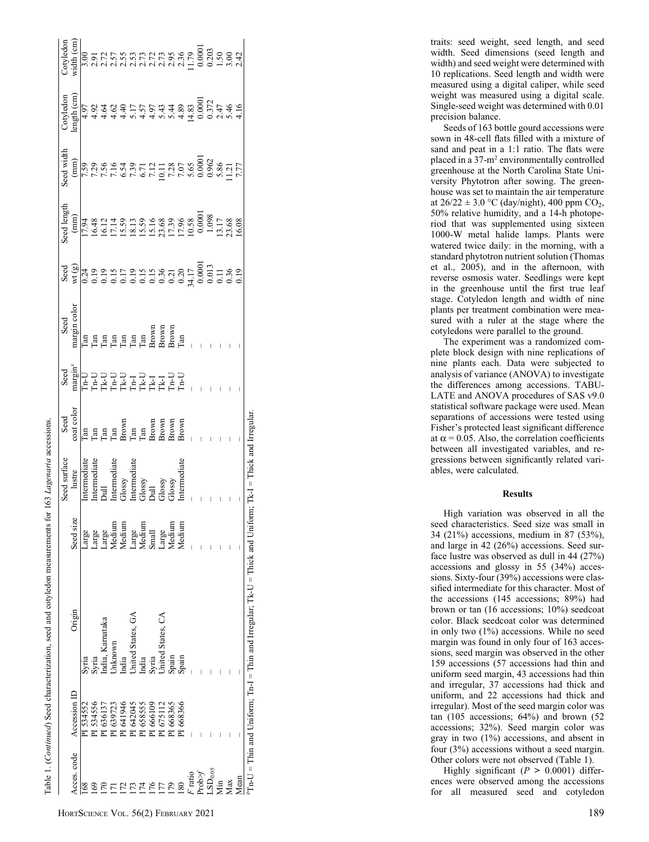|                                                                                            |              |                                                                                                                |                          | seed surface                                                                               | Seed                                                            |                                                                                                                                                                                                     |                                                                                                   |                                                                                                                                                                                                                                                                                                                                                                                      | eed length                                                                                                            | eed width | Cotyledor |  |
|--------------------------------------------------------------------------------------------|--------------|----------------------------------------------------------------------------------------------------------------|--------------------------|--------------------------------------------------------------------------------------------|-----------------------------------------------------------------|-----------------------------------------------------------------------------------------------------------------------------------------------------------------------------------------------------|---------------------------------------------------------------------------------------------------|--------------------------------------------------------------------------------------------------------------------------------------------------------------------------------------------------------------------------------------------------------------------------------------------------------------------------------------------------------------------------------------|-----------------------------------------------------------------------------------------------------------------------|-----------|-----------|--|
| Acces.code                                                                                 | Accession ID | Origin                                                                                                         | Seed siz                 | lustre                                                                                     | oat color                                                       | s<br>sement de la de la de la de la de la de la de la de la de la de la de la de la<br>sement de la de la de la de la de la de la de la de la de la de la de la de la de la de la de la de la de la | Seed<br>margin color                                                                              | $\begin{array}{l} \texttt{3.60} \\ \texttt{3.61} \\ \texttt{4.62} \\ \texttt{5.63} \\ \texttt{6.63} \\ \texttt{7.63} \\ \texttt{8.63} \\ \texttt{9.63} \\ \texttt{10.63} \\ \texttt{11.63} \\ \texttt{12.63} \\ \texttt{13.63} \\ \texttt{13.63} \\ \texttt{13.63} \\ \texttt{13.63} \\ \texttt{13.63} \\ \texttt{13.63} \\ \texttt{13.63} \\ \texttt{13.63} \\ \texttt{13.63} \\ \$ | (mm)                                                                                                                  | (mm)      | ength (cm |  |
|                                                                                            | PI 534552    | Syria                                                                                                          | Large                    | ntermediate                                                                                |                                                                 |                                                                                                                                                                                                     |                                                                                                   |                                                                                                                                                                                                                                                                                                                                                                                      |                                                                                                                       |           |           |  |
|                                                                                            | PI 534556    |                                                                                                                |                          | Intermediate                                                                               |                                                                 |                                                                                                                                                                                                     |                                                                                                   |                                                                                                                                                                                                                                                                                                                                                                                      |                                                                                                                       |           |           |  |
|                                                                                            | PI 636137    | syria<br>ndia, Karnataka                                                                                       | Large<br>Large<br>Medium |                                                                                            |                                                                 |                                                                                                                                                                                                     |                                                                                                   |                                                                                                                                                                                                                                                                                                                                                                                      |                                                                                                                       |           |           |  |
|                                                                                            | PI 639723    | Jnknown                                                                                                        |                          |                                                                                            |                                                                 |                                                                                                                                                                                                     |                                                                                                   |                                                                                                                                                                                                                                                                                                                                                                                      |                                                                                                                       |           |           |  |
|                                                                                            | 1641946      | ndia                                                                                                           | Medium                   | Dull<br>Intermediate<br>Glossy<br>Glossy<br>Glossy<br>Glossy<br>Glossy<br>Glossy<br>Glossy |                                                                 |                                                                                                                                                                                                     |                                                                                                   |                                                                                                                                                                                                                                                                                                                                                                                      |                                                                                                                       |           |           |  |
|                                                                                            | PI 642045    | Jnited States, GA                                                                                              |                          |                                                                                            |                                                                 |                                                                                                                                                                                                     |                                                                                                   |                                                                                                                                                                                                                                                                                                                                                                                      |                                                                                                                       |           |           |  |
|                                                                                            | PI 658555    | ndia                                                                                                           | Large<br>Medium          |                                                                                            |                                                                 |                                                                                                                                                                                                     |                                                                                                   |                                                                                                                                                                                                                                                                                                                                                                                      |                                                                                                                       |           |           |  |
|                                                                                            | PI 666109    |                                                                                                                | Small                    |                                                                                            |                                                                 |                                                                                                                                                                                                     |                                                                                                   |                                                                                                                                                                                                                                                                                                                                                                                      |                                                                                                                       |           |           |  |
|                                                                                            | PI 675112    |                                                                                                                | Large                    |                                                                                            |                                                                 |                                                                                                                                                                                                     |                                                                                                   |                                                                                                                                                                                                                                                                                                                                                                                      |                                                                                                                       |           |           |  |
| 61                                                                                         | PI 668365    |                                                                                                                | Medium                   |                                                                                            |                                                                 |                                                                                                                                                                                                     |                                                                                                   |                                                                                                                                                                                                                                                                                                                                                                                      |                                                                                                                       |           |           |  |
| 180                                                                                        | PI 668366    | Syria<br>United States, CA<br>Spain<br>Spain                                                                   | Medium                   |                                                                                            | Tan<br>Tan Hown<br>Tan Hown<br>Brown<br>Brown<br>Brown<br>Brown |                                                                                                                                                                                                     | Fia a a a a a a a a<br>Fia a a a a a a a a a a<br>Babasa a a a a a a a a<br>Fia a a a a a a a a a |                                                                                                                                                                                                                                                                                                                                                                                      | <br>  1941 - 1951 - 1961 - 1962 - 1963<br>  1961 - 1962 - 1963 - 1963 - 1964 - 1965 - 1970 - 1970 - 1983 - 1984 - 198 |           |           |  |
|                                                                                            |              |                                                                                                                |                          |                                                                                            |                                                                 |                                                                                                                                                                                                     |                                                                                                   |                                                                                                                                                                                                                                                                                                                                                                                      |                                                                                                                       |           |           |  |
| $\begin{array}{l} F \ \text{ratio} \\ \text{Prob} \gamma \\ \text{LSD}_{0.05} \end{array}$ |              |                                                                                                                |                          |                                                                                            |                                                                 |                                                                                                                                                                                                     |                                                                                                   |                                                                                                                                                                                                                                                                                                                                                                                      |                                                                                                                       |           |           |  |
|                                                                                            |              |                                                                                                                |                          |                                                                                            |                                                                 |                                                                                                                                                                                                     |                                                                                                   |                                                                                                                                                                                                                                                                                                                                                                                      |                                                                                                                       |           |           |  |
| Min                                                                                        |              |                                                                                                                |                          |                                                                                            |                                                                 |                                                                                                                                                                                                     |                                                                                                   |                                                                                                                                                                                                                                                                                                                                                                                      |                                                                                                                       |           |           |  |
| Max                                                                                        |              |                                                                                                                |                          |                                                                                            |                                                                 |                                                                                                                                                                                                     |                                                                                                   |                                                                                                                                                                                                                                                                                                                                                                                      |                                                                                                                       |           |           |  |
| Mean                                                                                       |              |                                                                                                                |                          |                                                                                            |                                                                 |                                                                                                                                                                                                     |                                                                                                   |                                                                                                                                                                                                                                                                                                                                                                                      |                                                                                                                       |           |           |  |
|                                                                                            |              | ${}^pTn-U$ = Thin and Uniform; Tn-I = Thin and Irregular; Tk-U = Thick and Uniform; Tk-I = Thick and Irregular |                          |                                                                                            |                                                                 |                                                                                                                                                                                                     |                                                                                                   |                                                                                                                                                                                                                                                                                                                                                                                      |                                                                                                                       |           |           |  |

traits: seed weight, seed length, and seed width. Seed dimensions (seed length and width) and seed weight were determined with 10 replications. Seed length and width were measured using a digital caliper, while seed weight was measured using a digital scale. Single-seed weight was determined with 0.01 precision balance.

Seeds of 163 bottle gourd accessions were sown in 48-cell flats filled with a mixture of sand and peat in a 1:1 ratio. The flats were placed in a 37-m <sup>2</sup> environmentally controlled greenhouse at the North Carolina State University Phytotron after sowing. The greenhouse was set to maintain the air temperature at  $26/22 \pm 3.0$  °C (day/night), 400 ppm CO<sub>2</sub>, 50% relative humidity, and a 14-h photoperiod that was supplemented using sixteen 1000-W metal halide lamps. Plants were watered twice daily: in the morning, with a standard phytotron nutrient solution (Thomas et al., 2005), and in the afternoon, with reverse osmosis water. Seedlings were kept in the greenhouse until the first true leaf stage. Cotyledon length and width of nine plants per treatment combination were measured with a ruler at the stage where the cotyledons were parallel to the ground.

The experiment was a randomized complete block design with nine replications of nine plants each. Data were subjected to analysis of variance (ANOVA) to investigate the differences among accessions. TABU-LATE and ANOVA procedures of SAS v9.0 statistical software package were used. Mean separations of accessions were tested using Fisher's protected least significant difference at  $\alpha$  = 0.05. Also, the correlation coefficients between all investigated variables, and regressions between significantly related variables, were calculated.

## Results

High variation was observed in all the seed characteristics. Seed size was small in 34 (21%) accessions, medium in 87 (53%), and large in 42 (26%) accessions. Seed surface lustre was observed as dull in 44 (27%) accessions and glossy in 55 (34%) accessions. Sixty-four (39%) accessions were classified intermediate for this character. Most of the accessions (145 accessions; 89%) had brown or tan (16 accessions; 10%) seedcoat color. Black seedcoat color was determined in only two (1%) accessions. While no seed margin was found in only four of 163 accessions, seed margin was observed in the other 159 accessions (57 accessions had thin and uniform seed margin, 43 accessions had thin and irregular, 37 accessions had thick and uniform, and 22 accessions had thick and irregular). Most of the seed margin color was tan (105 accessions; 64%) and brown (52 accessions; 32%). Seed margin color was gray in two (1%) accessions, and absent in four (3%) accessions without a seed margin. Other colors were not observed (Table 1).

Highly significant  $(P > 0.0001)$  differences were observed among the accessions for all measured seed and cotyledon

Table 1. (Continued) Seed characterization, seed and cotyledon measurements for 163 Lagenaria accessions

Continued) Seed characterization, seed and cotyledon measurements for 163 Lagenaria accessions.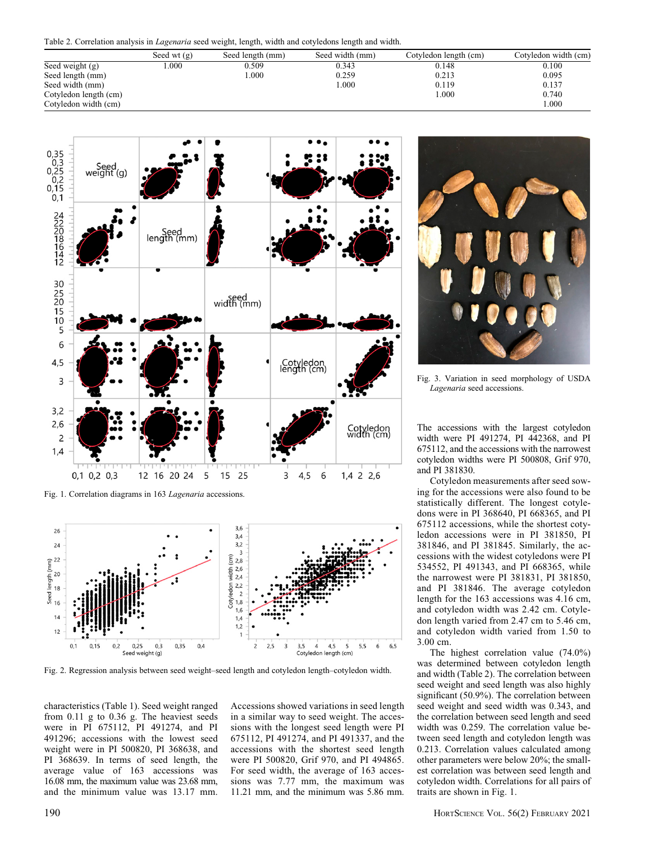Table 2. Correlation analysis in Lagenaria seed weight, length, width and cotyledons length and width.

|                       | Seed wt $(g)$ | Seed length (mm) | Seed width (mm) | Cotyledon length (cm) | Cotyledon width (cm) |
|-----------------------|---------------|------------------|-----------------|-----------------------|----------------------|
| Seed weight $(g)$     | .000          | 0.509            | 0.343           | 0.148                 | 0.100                |
| Seed length (mm)      |               | 000.1            | 0.259           | 0.213                 | 0.095                |
| Seed width (mm)       |               |                  | 1.000           | 0.119                 | 0.137                |
| Cotyledon length (cm) |               |                  |                 | 1.000                 | 0.740                |
| Cotyledon width (cm)  |               |                  |                 |                       | 000.1                |



Fig. 1. Correlation diagrams in 163 Lagenaria accessions.



Fig. 2. Regression analysis between seed weight–seed length and cotyledon length–cotyledon width.

characteristics (Table 1). Seed weight ranged from 0.11 g to 0.36 g. The heaviest seeds were in PI 675112, PI 491274, and PI 491296; accessions with the lowest seed weight were in PI 500820, PI 368638, and PI 368639. In terms of seed length, the average value of 163 accessions was 16.08 mm, the maximum value was 23.68 mm, and the minimum value was 13.17 mm.

Accessions showed variations in seed length in a similar way to seed weight. The accessions with the longest seed length were PI 675112, PI 491274, and PI 491337, and the accessions with the shortest seed length were PI 500820, Grif 970, and PI 494865. For seed width, the average of 163 accessions was 7.77 mm, the maximum was 11.21 mm, and the minimum was 5.86 mm.



Fig. 3. Variation in seed morphology of USDA Lagenaria seed accessions.

The accessions with the largest cotyledon width were PI 491274, PI 442368, and PI 675112, and the accessions with the narrowest cotyledon widths were PI 500808, Grif 970, and PI 381830.

Cotyledon measurements after seed sowing for the accessions were also found to be statistically different. The longest cotyledons were in PI 368640, PI 668365, and PI 675112 accessions, while the shortest cotyledon accessions were in PI 381850, PI 381846, and PI 381845. Similarly, the accessions with the widest cotyledons were PI 534552, PI 491343, and PI 668365, while the narrowest were PI 381831, PI 381850, and PI 381846. The average cotyledon length for the 163 accessions was 4.16 cm, and cotyledon width was 2.42 cm. Cotyledon length varied from 2.47 cm to 5.46 cm, and cotyledon width varied from 1.50 to 3.00 cm.

The highest correlation value (74.0%) was determined between cotyledon length and width (Table 2). The correlation between seed weight and seed length was also highly significant (50.9%). The correlation between seed weight and seed width was 0.343, and the correlation between seed length and seed width was 0.259. The correlation value between seed length and cotyledon length was 0.213. Correlation values calculated among other parameters were below 20%; the smallest correlation was between seed length and cotyledon width. Correlations for all pairs of traits are shown in Fig. 1.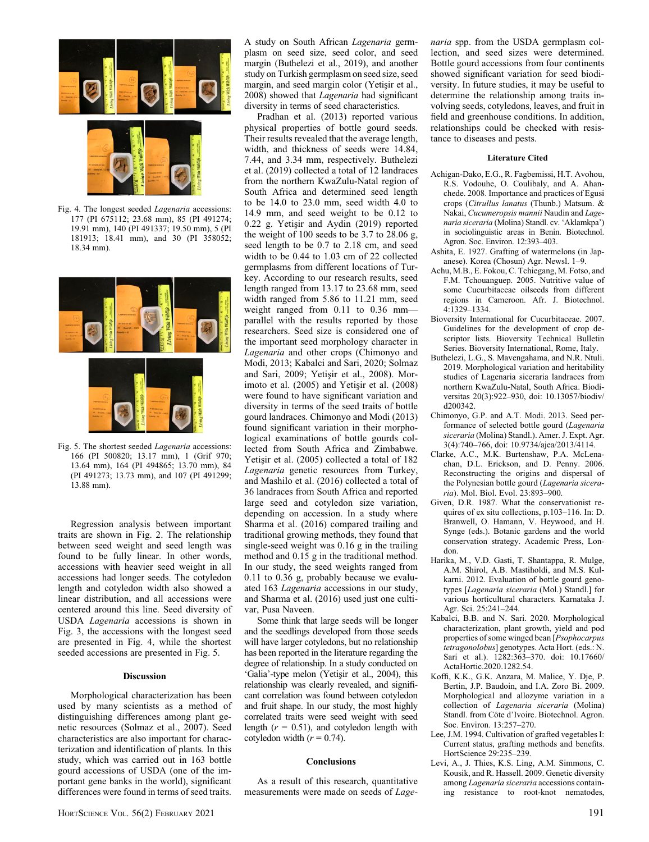

Fig. 4. The longest seeded Lagenaria accessions: 177 (PI 675112; 23.68 mm), 85 (PI 491274; 19.91 mm), 140 (PI 491337; 19.50 mm), 5 (PI 181913; 18.41 mm), and 30 (PI 358052; 18.34 mm).



Fig. 5. The shortest seeded Lagenaria accessions: 166 (PI 500820; 13.17 mm), 1 (Grif 970; 13.64 mm), 164 (PI 494865; 13.70 mm), 84 (PI 491273; 13.73 mm), and 107 (PI 491299; 13.88 mm).

Regression analysis between important traits are shown in Fig. 2. The relationship between seed weight and seed length was found to be fully linear. In other words, accessions with heavier seed weight in all accessions had longer seeds. The cotyledon length and cotyledon width also showed a linear distribution, and all accessions were centered around this line. Seed diversity of USDA Lagenaria accessions is shown in Fig. 3, the accessions with the longest seed are presented in Fig. 4, while the shortest seeded accessions are presented in Fig. 5.

#### Discussion

Morphological characterization has been used by many scientists as a method of distinguishing differences among plant genetic resources (Solmaz et al., 2007). Seed characteristics are also important for characterization and identification of plants. In this study, which was carried out in 163 bottle gourd accessions of USDA (one of the important gene banks in the world), significant differences were found in terms of seed traits. A study on South African Lagenaria germplasm on seed size, seed color, and seed margin (Buthelezi et al., 2019), and another study on Turkish germplasm on seed size, seed margin, and seed margin color (Yetişir et al., 2008) showed that *Lagenaria* had significant diversity in terms of seed characteristics.

Pradhan et al. (2013) reported various physical properties of bottle gourd seeds. Their results revealed that the average length, width, and thickness of seeds were 14.84, 7.44, and 3.34 mm, respectively. Buthelezi et al. (2019) collected a total of 12 landraces from the northern KwaZulu-Natal region of South Africa and determined seed length to be 14.0 to 23.0 mm, seed width 4.0 to 14.9 mm, and seed weight to be 0.12 to  $0.22$  g. Yetisir and Aydin  $(2019)$  reported the weight of 100 seeds to be 3.7 to 28.06 g, seed length to be 0.7 to 2.18 cm, and seed width to be 0.44 to 1.03 cm of 22 collected germplasms from different locations of Turkey. According to our research results, seed length ranged from 13.17 to 23.68 mm, seed width ranged from 5.86 to 11.21 mm, seed weight ranged from 0.11 to 0.36 mm parallel with the results reported by those researchers. Seed size is considered one of the important seed morphology character in Lagenaria and other crops (Chimonyo and Modi, 2013; Kabalci and Sari, 2020; Solmaz and Sari, 2009; Yetişir et al., 2008). Morimoto et al.  $(2005)$  and Yetisir et al.  $(2008)$ were found to have significant variation and diversity in terms of the seed traits of bottle gourd landraces. Chimonyo and Modi (2013) found significant variation in their morphological examinations of bottle gourds collected from South Africa and Zimbabwe. Yetisir et al. (2005) collected a total of 182 Lagenaria genetic resources from Turkey, and Mashilo et al. (2016) collected a total of 36 landraces from South Africa and reported large seed and cotyledon size variation, depending on accession. In a study where Sharma et al. (2016) compared trailing and traditional growing methods, they found that single-seed weight was 0.16 g in the trailing method and 0.15 g in the traditional method. In our study, the seed weights ranged from 0.11 to 0.36 g, probably because we evaluated 163 Lagenaria accessions in our study, and Sharma et al. (2016) used just one cultivar, Pusa Naveen.

Some think that large seeds will be longer and the seedlings developed from those seeds will have larger cotyledons, but no relationship has been reported in the literature regarding the degree of relationship. In a study conducted on 'Galia'-type melon (Yetişir et al., 2004), this relationship was clearly revealed, and significant correlation was found between cotyledon and fruit shape. In our study, the most highly correlated traits were seed weight with seed length  $(r = 0.51)$ , and cotyledon length with cotyledon width  $(r = 0.74)$ .

#### Conclusions

As a result of this research, quantitative measurements were made on seeds of Lagenaria spp. from the USDA germplasm collection, and seed sizes were determined. Bottle gourd accessions from four continents showed significant variation for seed biodiversity. In future studies, it may be useful to determine the relationship among traits involving seeds, cotyledons, leaves, and fruit in field and greenhouse conditions. In addition, relationships could be checked with resistance to diseases and pests.

#### Literature Cited

- Achigan-Dako, E.G., R. Fagbemissi, H.T. Avohou, R.S. Vodouhe, O. Coulibaly, and A. Ahanchede. 2008. Importance and practices of Egusi crops (Citrullus lanatus (Thunb.) Matsum. & Nakai, Cucumeropsis mannii Naudin and Lagenaria siceraria (Molina) Standl. cv. 'Aklamkpa') in sociolinguistic areas in Benin. Biotechnol. Agron. Soc. Environ. 12:393–403.
- Ashita, E. 1927. Grafting of watermelons (in Japanese). Korea (Chosun) Agr. Newsl. 1–9.
- Achu, M.B., E. Fokou, C. Tchiegang, M. Fotso, and F.M. Tchouanguep. 2005. Nutritive value of some Cucurbitaceae oilseeds from different regions in Cameroon. Afr. J. Biotechnol. 4:1329–1334.
- Bioversity International for Cucurbitaceae. 2007. Guidelines for the development of crop descriptor lists. Bioversity Technical Bulletin Series. Bioversity International, Rome, Italy.
- Buthelezi, L.G., S. Mavengahama, and N.R. Ntuli. 2019. Morphological variation and heritability studies of Lagenaria siceraria landraces from northern KwaZulu-Natal, South Africa. Biodiversitas 20(3):922–930, doi: 10.13057/biodiv/ d200342.
- Chimonyo, G.P. and A.T. Modi. 2013. Seed performance of selected bottle gourd (Lagenaria siceraria (Molina) Standl.). Amer. J. Expt. Agr. 3(4):740–766, doi: 10.9734/ajea/2013/4114.
- Clarke, A.C., M.K. Burtenshaw, P.A. McLenachan, D.L. Erickson, and D. Penny. 2006. Reconstructing the origins and dispersal of the Polynesian bottle gourd (Lagenaria siceraria). Mol. Biol. Evol. 23:893–900.
- Given, D.R. 1987. What the conservationist requires of ex situ collections, p.103–116. In: D. Branwell, O. Hamann, V. Heywood, and H. Synge (eds.). Botanic gardens and the world conservation strategy. Academic Press, London.
- Harika, M., V.D. Gasti, T. Shantappa, R. Mulge, A.M. Shirol, A.B. Mastiholdi, and M.S. Kulkarni. 2012. Evaluation of bottle gourd genotypes [Lagenaria siceraria (Mol.) Standl.] for various horticultural characters. Karnataka J. Agr. Sci. 25:241–244.
- Kabalci, B.B. and N. Sari. 2020. Morphological characterization, plant growth, yield and pod properties of some winged bean [Psophocarpus tetragonolobus] genotypes. Acta Hort. (eds.: N. Sari et al.). 1282:363–370. doi: 10.17660/ ActaHortic.2020.1282.54.
- Koffi, K.K., G.K. Anzara, M. Malice, Y. Dje, P. Bertin, J.P. Baudoin, and I.A. Zoro Bi. 2009. Morphological and allozyme variation in a collection of Lagenaria siceraria (Molina) Standl. from Côte d'Ivoire. Biotechnol. Agron. Soc. Environ. 13:257–270.
- Lee, J.M. 1994. Cultivation of grafted vegetables I: Current status, grafting methods and benefits. HortScience 29:235–239.
- Levi, A., J. Thies, K.S. Ling, A.M. Simmons, C. Kousik, and R. Hassell. 2009. Genetic diversity among Lagenaria siceraria accessions containing resistance to root-knot nematodes,